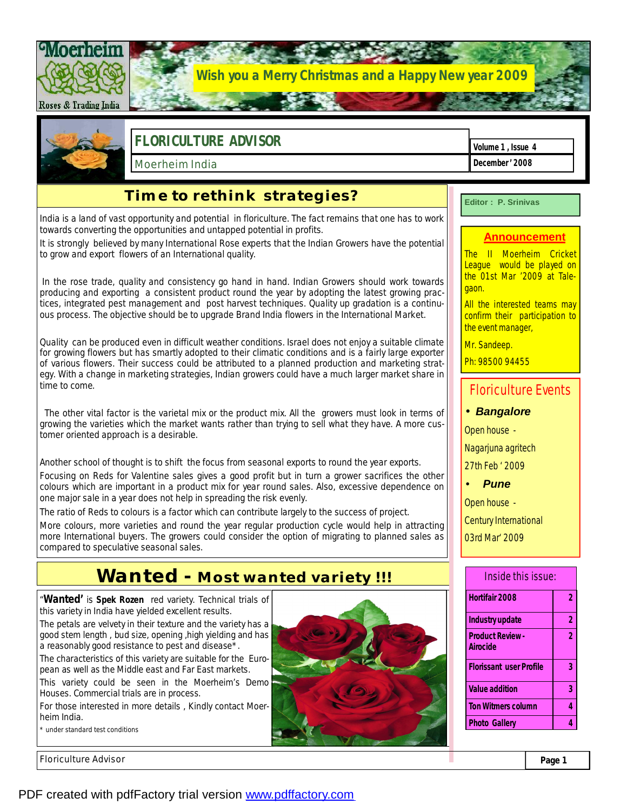

Floriculture Advisor **Page 1** 

PDF created with pdfFactory trial version [www.pdffactory.com](http://www.pdffactory.com)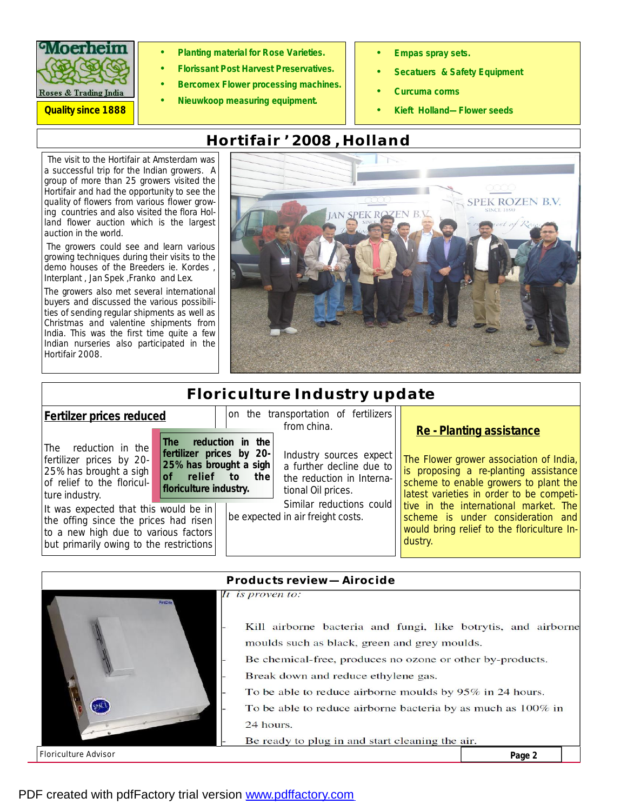

- **Planting material for Rose Varieties.**
- **Florissant Post Harvest Preservatives.** 
	- **Bercomex Flower processing machines.**
	- **Nieuwkoop measuring equipment.**
- **Empas spray sets.**
- **Secatuers & Safety Equipment**
- **Curcuma corms**
- *Quality since 1888* **Kieft Holland—Flower seeds**

# **Hortifair '2008 ,Holland**

The visit to the Hortifair at Amsterdam was a successful trip for the Indian growers. A group of more than 25 growers visited the Hortifair and had the opportunity to see the quality of flowers from various flower growing countries and also visited the flora Holland flower auction which is the largest auction in the world.

The growers could see and learn various growing techniques during their visits to the demo houses of the Breeders ie. Kordes , Interplant , Jan Spek ,Franko and Lex.

The growers also met several international buyers and discussed the various possibilities of sending regular shipments as well as Christmas and valentine shipments from India. This was the first time quite a few Indian nurseries also participated in the Hortifair 2008.



# **Floriculture Industry update**

| Fertilzer prices reduced                                                                                                                                                                                                                                                                           |                                                                                                                                    | on the transportation of fertilizers<br>from china.                                                                                                                     |                                                                                                                                                                                                                                                                                                                                          |
|----------------------------------------------------------------------------------------------------------------------------------------------------------------------------------------------------------------------------------------------------------------------------------------------------|------------------------------------------------------------------------------------------------------------------------------------|-------------------------------------------------------------------------------------------------------------------------------------------------------------------------|------------------------------------------------------------------------------------------------------------------------------------------------------------------------------------------------------------------------------------------------------------------------------------------------------------------------------------------|
| reduction in the<br>The<br>fertilizer prices by 20-<br>25% has brought a sigh<br>of relief to the floricul-<br>ture industry.<br>It was expected that this would be in<br>the offing since the prices had risen<br>to a new high due to various factors<br>but primarily owing to the restrictions | reduction in the<br><b>The</b><br>fertilizer prices by 20-<br>25% has brought a sigh<br>of relief to the<br>floriculture industry. | Industry sources expect<br>a further decline due to<br>the reduction in Interna-<br>tional Oil prices.<br>Similar reductions could<br>be expected in air freight costs. | Re - Planting assistance<br>The Flower grower association of India,<br>is proposing a re-planting assistance<br>scheme to enable growers to plant the<br>latest varieties in order to be competi-<br>tive in the international market. The<br>scheme is under consideration and<br>would bring relief to the floriculture In-<br>dustry. |



#### PDF created with pdfFactory trial version [www.pdffactory.com](http://www.pdffactory.com)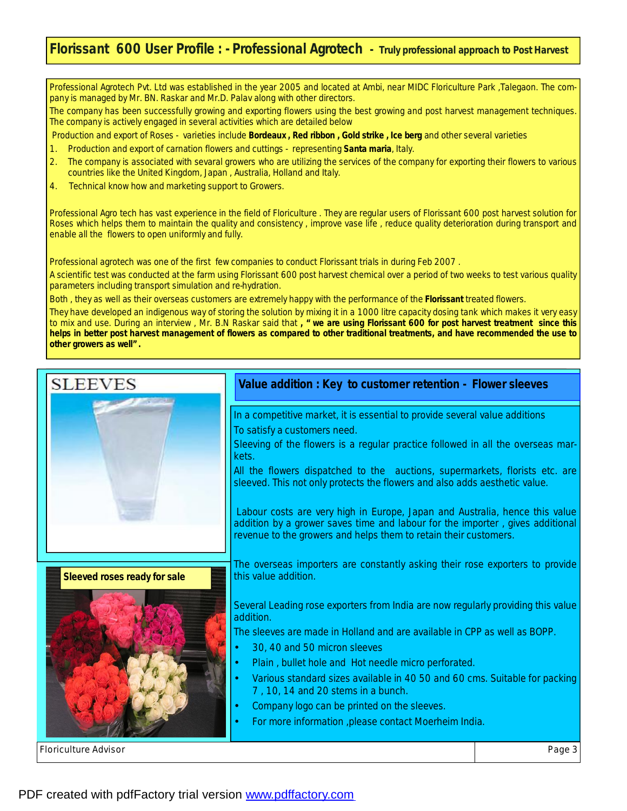### **Florissant 600 User Profile : - Professional Agrotech -** *Truly professional approach to Post Harvest*

Professional Agrotech Pvt. Ltd was established in the year 2005 and located at Ambi, near MIDC Floriculture Park ,Talegaon. The company is managed by Mr. BN. Raskar and Mr.D. Palav along with other directors.

The company has been successfully growing and exporting flowers using the best growing and post harvest management techniques. The company is actively engaged in several activities which are detailed below

Production and export of Roses - varieties include **Bordeaux , Red ribbon , Gold strike , Ice berg** and other several varieties

- 1. Production and export of carnation flowers and cuttings representing **Santa maria**, Italy.
- 2. The company is associated with sevaral growers who are utilizing the services of the company for exporting their flowers to various countries like the United Kingdom, Japan , Australia, Holland and Italy.
- 4. Technical know how and marketing support to Growers.

Professional Agro tech has vast experience in the field of Floriculture . They are regular users of Florissant 600 post harvest solution for Roses which helps them to maintain the quality and consistency , improve vase life , reduce quality deterioration during transport and enable all the flowers to open uniformly and fully.

Professional agrotech was one of the first few companies to conduct Florissant trials in during Feb 2007 .

A scientific test was conducted at the farm using Florissant 600 post harvest chemical over a period of two weeks to test various quality parameters including transport simulation and re-hydration.

Both , they as well as their overseas customers are extremely happy with the performance of the **Florissant** treated flowers.

They have developed an indigenous way of storing the solution by mixing it in a 1000 litre capacity dosing tank which makes it very easy to mix and use. During an interview , Mr. B.N Raskar said that **, "** *we are using Florissant 600 for post harvest treatment since this*  helps in better post harvest management of flowers as compared to other traditional treatments, and have recommended the use to *other growers as well" .* 

## Floriculture Advisor Page 3  In a competitive market, it is essential to provide several value additions To satisfy a customers need. Sleeving of the flowers is a regular practice followed in all the overseas markets. All the flowers dispatched to the auctions, supermarkets, florists etc. are sleeved. This not only protects the flowers and also adds aesthetic value. Labour costs are very high in Europe, Japan and Australia, hence this value addition by a grower saves time and labour for the importer , gives additional revenue to the growers and helps them to retain their customers. The overseas importers are constantly asking their rose exporters to provide this value addition. Several Leading rose exporters from India are now regularly providing this value addition. The sleeves are made in Holland and are available in CPP as well as BOPP. • 30, 40 and 50 micron sleeves Plain, bullet hole and Hot needle micro perforated. • Various standard sizes available in 40 50 and 60 cms. Suitable for packing 7 , 10, 14 and 20 stems in a bunch. • Company logo can be printed on the sleeves. • For more information ,please contact Moerheim India. **Value addition : Key to customer retention - Flower sleeves Sleeved roses ready for sale**